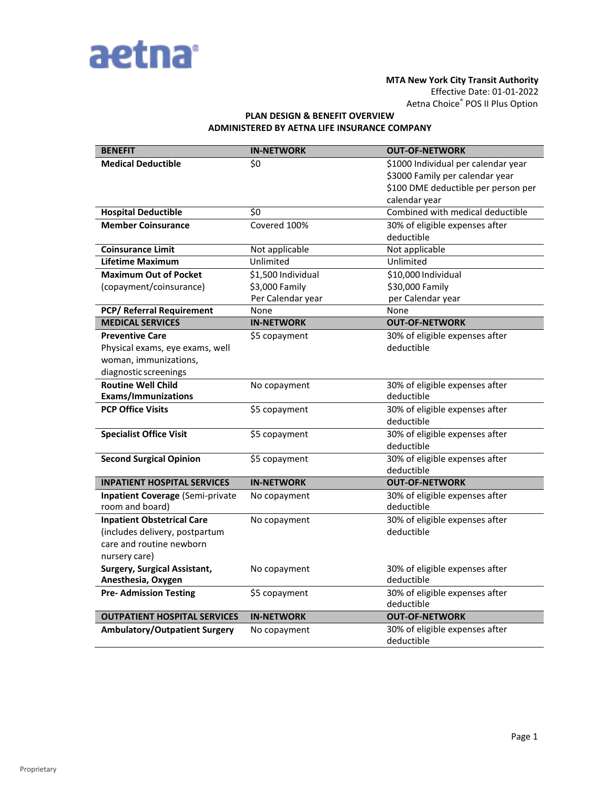

#### **MTA New York City Transit Authority**

Effective Date: 01-01-2022 Aetna Choice® POS II Plus Option

#### **PLAN DESIGN & BENEFIT OVERVIEW ADMINISTERED BY AETNA LIFE INSURANCE COMPANY**

| <b>BENEFIT</b>                          | <b>IN-NETWORK</b>  | <b>OUT-OF-NETWORK</b>                             |
|-----------------------------------------|--------------------|---------------------------------------------------|
| <b>Medical Deductible</b>               | \$0                | \$1000 Individual per calendar year               |
|                                         |                    | \$3000 Family per calendar year                   |
|                                         |                    | \$100 DME deductible per person per               |
| <b>Hospital Deductible</b>              | \$0                | calendar year<br>Combined with medical deductible |
| <b>Member Coinsurance</b>               | Covered 100%       |                                                   |
|                                         |                    | 30% of eligible expenses after<br>deductible      |
| <b>Coinsurance Limit</b>                | Not applicable     | Not applicable                                    |
| <b>Lifetime Maximum</b>                 | Unlimited          | Unlimited                                         |
| <b>Maximum Out of Pocket</b>            | \$1,500 Individual | \$10,000 Individual                               |
| (copayment/coinsurance)                 | \$3,000 Family     | \$30,000 Family                                   |
|                                         | Per Calendar year  | per Calendar year                                 |
| PCP/ Referral Requirement               | None               | None                                              |
| <b>MEDICAL SERVICES</b>                 | <b>IN-NETWORK</b>  | <b>OUT-OF-NETWORK</b>                             |
| <b>Preventive Care</b>                  | \$5 copayment      | 30% of eligible expenses after                    |
| Physical exams, eye exams, well         |                    | deductible                                        |
| woman, immunizations,                   |                    |                                                   |
| diagnostic screenings                   |                    |                                                   |
| <b>Routine Well Child</b>               | No copayment       | 30% of eligible expenses after                    |
| <b>Exams/Immunizations</b>              |                    | deductible                                        |
| <b>PCP Office Visits</b>                | \$5 copayment      | 30% of eligible expenses after                    |
|                                         |                    | deductible                                        |
| <b>Specialist Office Visit</b>          | \$5 copayment      | 30% of eligible expenses after                    |
|                                         |                    | deductible                                        |
| <b>Second Surgical Opinion</b>          | \$5 copayment      | 30% of eligible expenses after                    |
|                                         |                    | deductible                                        |
| <b>INPATIENT HOSPITAL SERVICES</b>      | <b>IN-NETWORK</b>  | <b>OUT-OF-NETWORK</b>                             |
| <b>Inpatient Coverage (Semi-private</b> | No copayment       | 30% of eligible expenses after                    |
| room and board)                         |                    | deductible                                        |
| <b>Inpatient Obstetrical Care</b>       | No copayment       | 30% of eligible expenses after                    |
| (includes delivery, postpartum          |                    | deductible                                        |
| care and routine newborn                |                    |                                                   |
| nursery care)                           |                    |                                                   |
| <b>Surgery, Surgical Assistant,</b>     | No copayment       | 30% of eligible expenses after                    |
| Anesthesia, Oxygen                      |                    | deductible                                        |
| <b>Pre- Admission Testing</b>           | \$5 copayment      | 30% of eligible expenses after<br>deductible      |
| <b>OUTPATIENT HOSPITAL SERVICES</b>     | <b>IN-NETWORK</b>  | <b>OUT-OF-NETWORK</b>                             |
| <b>Ambulatory/Outpatient Surgery</b>    | No copayment       | 30% of eligible expenses after                    |
|                                         |                    | deductible                                        |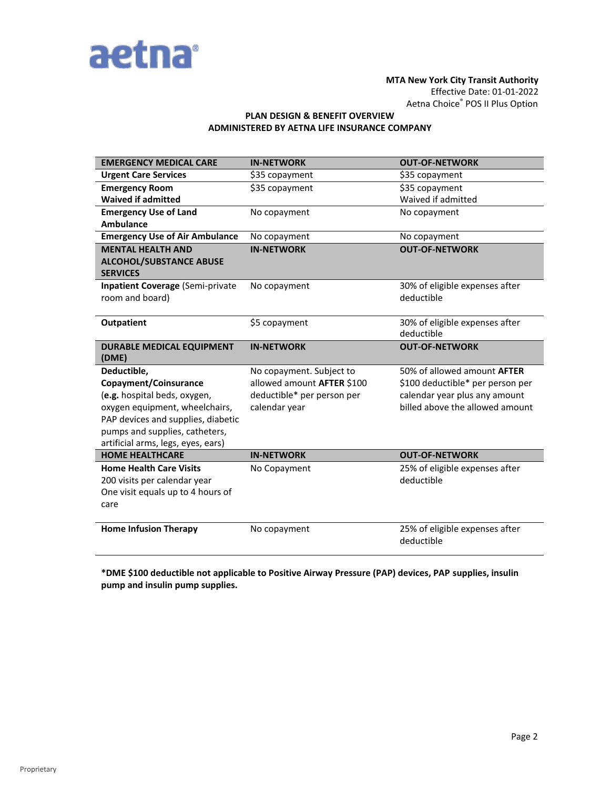

## **MTA New York City Transit Authority** Effective Date: 01-01-2022 Aetna Choice® POS II Plus Option

## **PLAN DESIGN & BENEFIT OVERVIEW ADMINISTERED BY AETNA LIFE INSURANCE COMPANY**

| <b>EMERGENCY MEDICAL CARE</b>                     | <b>IN-NETWORK</b>          | <b>OUT-OF-NETWORK</b>              |
|---------------------------------------------------|----------------------------|------------------------------------|
| <b>Urgent Care Services</b>                       | \$35 copayment             | \$35 copayment                     |
| <b>Emergency Room</b>                             | \$35 copayment             | \$35 copayment                     |
| <b>Waived if admitted</b>                         |                            | Waived if admitted                 |
| <b>Emergency Use of Land</b>                      | No copayment               | No copayment                       |
| <b>Ambulance</b>                                  |                            |                                    |
| <b>Emergency Use of Air Ambulance</b>             | No copayment               | No copayment                       |
| <b>MENTAL HEALTH AND</b>                          | <b>IN-NETWORK</b>          | <b>OUT-OF-NETWORK</b>              |
| <b>ALCOHOL/SUBSTANCE ABUSE</b><br><b>SERVICES</b> |                            |                                    |
| <b>Inpatient Coverage (Semi-private</b>           | No copayment               | 30% of eligible expenses after     |
| room and board)                                   |                            | deductible                         |
| <b>Outpatient</b>                                 | \$5 copayment              | 30% of eligible expenses after     |
|                                                   |                            | deductible                         |
| <b>DURABLE MEDICAL EQUIPMENT</b><br>(DME)         | <b>IN-NETWORK</b>          | <b>OUT-OF-NETWORK</b>              |
| Deductible,                                       | No copayment. Subject to   | 50% of allowed amount <b>AFTER</b> |
| Copayment/Coinsurance                             | allowed amount AFTER \$100 | \$100 deductible* per person per   |
| (e.g. hospital beds, oxygen,                      | deductible* per person per | calendar year plus any amount      |
| oxygen equipment, wheelchairs,                    | calendar year              | billed above the allowed amount    |
| PAP devices and supplies, diabetic                |                            |                                    |
| pumps and supplies, catheters,                    |                            |                                    |
| artificial arms, legs, eyes, ears)                |                            |                                    |
| <b>HOME HEALTHCARE</b>                            | <b>IN-NETWORK</b>          | <b>OUT-OF-NETWORK</b>              |
| <b>Home Health Care Visits</b>                    | No Copayment               | 25% of eligible expenses after     |
| 200 visits per calendar year                      |                            | deductible                         |
| One visit equals up to 4 hours of                 |                            |                                    |
| care                                              |                            |                                    |
| <b>Home Infusion Therapy</b>                      | No copayment               | 25% of eligible expenses after     |
|                                                   |                            | deductible                         |

**\*DME \$100 deductible not applicable to Positive Airway Pressure (PAP) devices, PAP supplies, insulin pump and insulin pump supplies.**